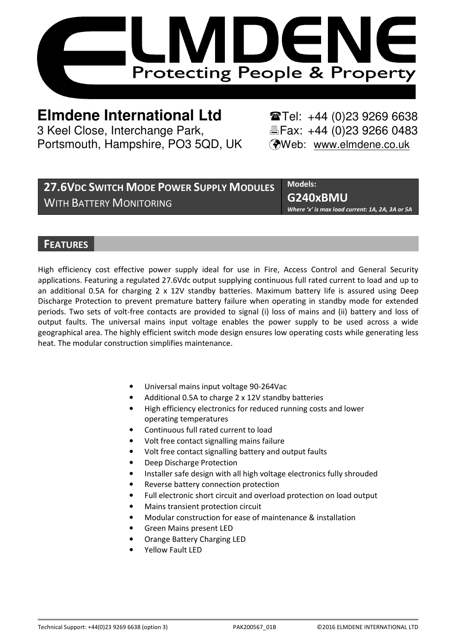

 **Elmdene International Ltd** Tel: +44 (0)23 9269 6638 3 Keel Close, Interchange Park, Electric & Fax: +44 (0)23 9266 0483 Portsmouth, Hampshire, PO3 5QD, UK (Web: www.elmdene.co.uk

# **27.6VDC SWITCH MODE POWER SUPPLY MODULES** WITH BATTERY MONITORING

Models: G240xBMU Where 'x' is max load current: 1A, 2A, 3A or 5A

# **FEATURES**

High efficiency cost effective power supply ideal for use in Fire, Access Control and General Security applications. Featuring a regulated 27.6Vdc output supplying continuous full rated current to load and up to an additional 0.5A for charging 2 x 12V standby batteries. Maximum battery life is assured using Deep Discharge Protection to prevent premature battery failure when operating in standby mode for extended periods. Two sets of volt-free contacts are provided to signal (i) loss of mains and (ii) battery and loss of output faults. The universal mains input voltage enables the power supply to be used across a wide geographical area. The highly efficient switch mode design ensures low operating costs while generating less heat. The modular construction simplifies maintenance.

- Universal mains input voltage 90-264Vac
- Additional 0.5A to charge 2 x 12V standby batteries
- High efficiency electronics for reduced running costs and lower operating temperatures
- Continuous full rated current to load
- Volt free contact signalling mains failure
- Volt free contact signalling battery and output faults
- Deep Discharge Protection
- Installer safe design with all high voltage electronics fully shrouded
- Reverse battery connection protection
- Full electronic short circuit and overload protection on load output
- Mains transient protection circuit
- Modular construction for ease of maintenance & installation
- Green Mains present LED
- Orange Battery Charging LED
- Yellow Fault LED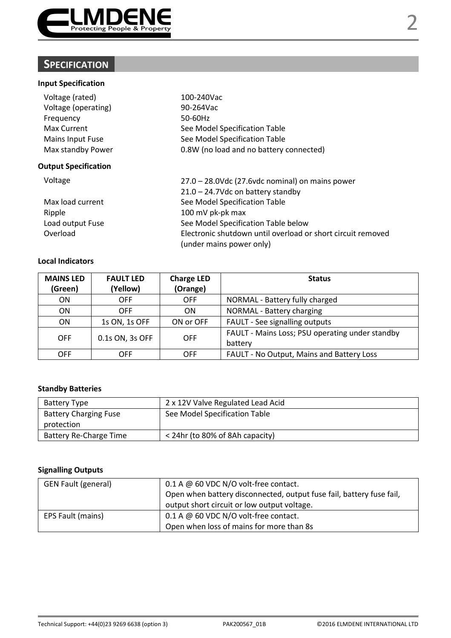

# **SPECIFICATION**

#### Input Specification

| Voltage (rated)             | 100-240Vac                                                  |  |  |
|-----------------------------|-------------------------------------------------------------|--|--|
| Voltage (operating)         | 90-264Vac                                                   |  |  |
| Frequency                   | 50-60Hz                                                     |  |  |
| Max Current                 | See Model Specification Table                               |  |  |
| Mains Input Fuse            | See Model Specification Table                               |  |  |
| Max standby Power           | 0.8W (no load and no battery connected)                     |  |  |
| <b>Output Specification</b> |                                                             |  |  |
| Voltage                     | 27.0 – 28.0Vdc (27.6vdc nominal) on mains power             |  |  |
|                             | 21.0 - 24.7Vdc on battery standby                           |  |  |
| Max load current            | See Model Specification Table                               |  |  |
| Ripple                      | 100 mV pk-pk max                                            |  |  |
| Load output Fuse            | See Model Specification Table below                         |  |  |
| Overload                    | Electronic shutdown until overload or short circuit removed |  |  |
|                             | (under mains power only)                                    |  |  |

### Local Indicators

| <b>MAINS LED</b> | <b>FAULT LED</b> | <b>Charge LED</b> | <b>Status</b>                                   |
|------------------|------------------|-------------------|-------------------------------------------------|
| (Green)          | (Yellow)         | (Orange)          |                                                 |
| ON               | <b>OFF</b>       | OFF               | NORMAL - Battery fully charged                  |
| <b>ON</b>        | <b>OFF</b>       | ON                | NORMAL - Battery charging                       |
| <b>ON</b>        | 1s ON, 1s OFF    | ON or OFF         | <b>FAULT</b> - See signalling outputs           |
| <b>OFF</b>       | 0.1s ON, 3s OFF  | <b>OFF</b>        | FAULT - Mains Loss; PSU operating under standby |
|                  |                  |                   | battery                                         |
| OFF              | OFF              | OFF               | FAULT - No Output, Mains and Battery Loss       |

### Standby Batteries

| <b>Battery Type</b>                        | 2 x 12V Valve Regulated Lead Acid |
|--------------------------------------------|-----------------------------------|
| <b>Battery Charging Fuse</b><br>protection | See Model Specification Table     |
| Battery Re-Charge Time                     | < 24hr (to 80% of 8Ah capacity)   |

## Signalling Outputs

| <b>GEN Fault (general)</b> | $0.1$ A @ 60 VDC N/O volt-free contact.                              |  |  |
|----------------------------|----------------------------------------------------------------------|--|--|
|                            | Open when battery disconnected, output fuse fail, battery fuse fail, |  |  |
|                            | output short circuit or low output voltage.                          |  |  |
| EPS Fault (mains)          | $0.1$ A @ 60 VDC N/O volt-free contact.                              |  |  |
|                            | Open when loss of mains for more than 8s                             |  |  |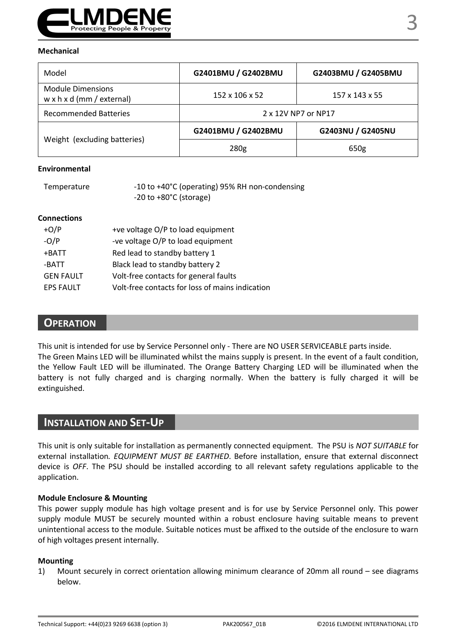

#### Mechanical

| Model                                                             | G2401BMU / G2402BMU                                      | G2403BMU / G2405BMU |  |
|-------------------------------------------------------------------|----------------------------------------------------------|---------------------|--|
| <b>Module Dimensions</b><br>$w \times h \times d$ (mm / external) | $152 \times 106 \times 52$<br>$157 \times 143 \times 55$ |                     |  |
| <b>Recommended Batteries</b>                                      | 2 x 12V NP7 or NP17                                      |                     |  |
|                                                                   | G2401BMU / G2402BMU                                      | G2403NU / G2405NU   |  |
| Weight (excluding batteries)                                      | 280g                                                     | 650g                |  |

#### Environmental

| Temperature | -10 to +40°C (operating) 95% RH non-condensing |
|-------------|------------------------------------------------|
|             | $-20$ to $+80^{\circ}$ C (storage)             |

#### **Connections**

| $+O/P$           | +ve voltage O/P to load equipment               |
|------------------|-------------------------------------------------|
| $-O/P$           | -ve voltage O/P to load equipment               |
| $+BATT$          | Red lead to standby battery 1                   |
| -BATT            | Black lead to standby battery 2                 |
| <b>GEN FAULT</b> | Volt-free contacts for general faults           |
| <b>EPS FAULT</b> | Volt-free contacts for loss of mains indication |

### **OPERATION**

This unit is intended for use by Service Personnel only - There are NO USER SERVICEABLE parts inside. The Green Mains LED will be illuminated whilst the mains supply is present. In the event of a fault condition, the Yellow Fault LED will be illuminated. The Orange Battery Charging LED will be illuminated when the battery is not fully charged and is charging normally. When the battery is fully charged it will be extinguished.

### INSTALLATION AND SET-UP

This unit is only suitable for installation as permanently connected equipment. The PSU is NOT SUITABLE for external installation. EQUIPMENT MUST BE EARTHED. Before installation, ensure that external disconnect device is OFF. The PSU should be installed according to all relevant safety regulations applicable to the application.

#### Module Enclosure & Mounting

This power supply module has high voltage present and is for use by Service Personnel only. This power supply module MUST be securely mounted within a robust enclosure having suitable means to prevent unintentional access to the module. Suitable notices must be affixed to the outside of the enclosure to warn of high voltages present internally.

#### Mounting

1) Mount securely in correct orientation allowing minimum clearance of 20mm all round – see diagrams below.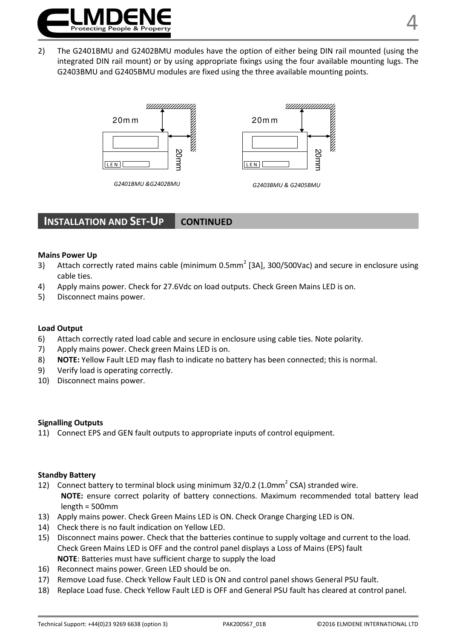



G2401BMU &G2402BMU G2403BMU & G2405BMU

4

## INSTALLATION AND SET-UP CONTINUED

#### Mains Power Up

- 3) Attach correctly rated mains cable (minimum 0.5mm<sup>2</sup> [3A], 300/500Vac) and secure in enclosure using cable ties.
- 4) Apply mains power. Check for 27.6Vdc on load outputs. Check Green Mains LED is on.
- 5) Disconnect mains power.

#### Load Output

- 6) Attach correctly rated load cable and secure in enclosure using cable ties. Note polarity.
- 7) Apply mains power. Check green Mains LED is on.
- 8) NOTE: Yellow Fault LED may flash to indicate no battery has been connected; this is normal.
- 9) Verify load is operating correctly.
- 10) Disconnect mains power.

#### Signalling Outputs

11) Connect EPS and GEN fault outputs to appropriate inputs of control equipment.

#### Standby Battery

- 12) Connect battery to terminal block using minimum  $32/0.2$  (1.0mm<sup>2</sup> CSA) stranded wire. NOTE: ensure correct polarity of battery connections. Maximum recommended total battery lead length = 500mm
- 13) Apply mains power. Check Green Mains LED is ON. Check Orange Charging LED is ON.
- 14) Check there is no fault indication on Yellow LED.
- 15) Disconnect mains power. Check that the batteries continue to supply voltage and current to the load. Check Green Mains LED is OFF and the control panel displays a Loss of Mains (EPS) fault NOTE: Batteries must have sufficient charge to supply the load
- 16) Reconnect mains power. Green LED should be on.
- 17) Remove Load fuse. Check Yellow Fault LED is ON and control panel shows General PSU fault.
- 18) Replace Load fuse. Check Yellow Fault LED is OFF and General PSU fault has cleared at control panel.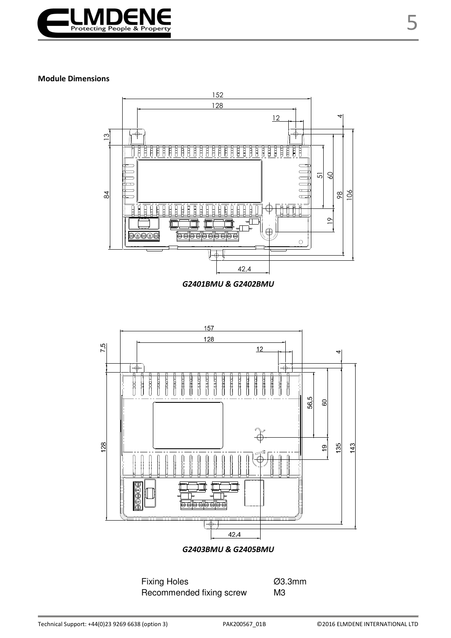

#### Module Dimensions



G2401BMU & G2402BMU



Fixing Holes Ø3.3mm Recommended fixing screw M3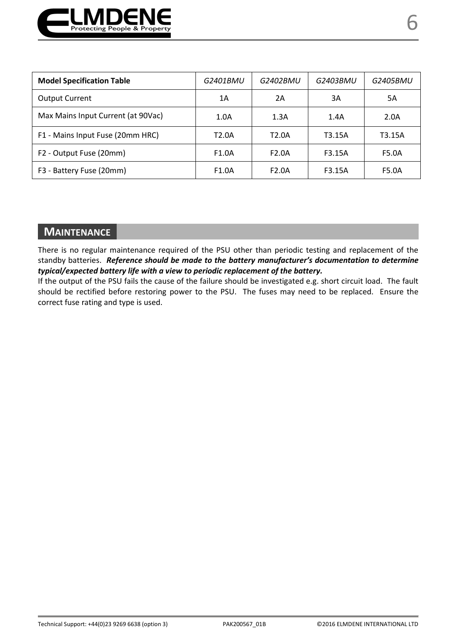

| <b>Model Specification Table</b>   | G2401BMU           | G2402BMU           | G2403BMU | G2405BMU |
|------------------------------------|--------------------|--------------------|----------|----------|
| <b>Output Current</b>              | 1A                 | 2A                 | 3A       | 5A       |
| Max Mains Input Current (at 90Vac) | 1.0A               | 1.3A               | 1.4A     | 2.0A     |
| F1 - Mains Input Fuse (20mm HRC)   | T <sub>2.0</sub> A | T <sub>2.0</sub> A | T3.15A   | T3.15A   |
| F2 - Output Fuse (20mm)            | F1.0A              | F <sub>2.0</sub> A | F3.15A   | F5.0A    |
| F3 - Battery Fuse (20mm)           | F1.0A              | F <sub>2.0</sub> A | F3.15A   | F5.0A    |

## **MAINTENANCE**

There is no regular maintenance required of the PSU other than periodic testing and replacement of the standby batteries. Reference should be made to the battery manufacturer's documentation to determine typical/expected battery life with a view to periodic replacement of the battery.

If the output of the PSU fails the cause of the failure should be investigated e.g. short circuit load. The fault should be rectified before restoring power to the PSU. The fuses may need to be replaced. Ensure the correct fuse rating and type is used.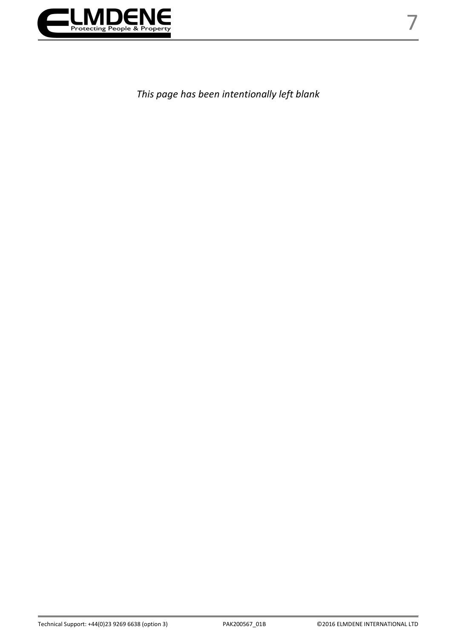

This page has been intentionally left blank